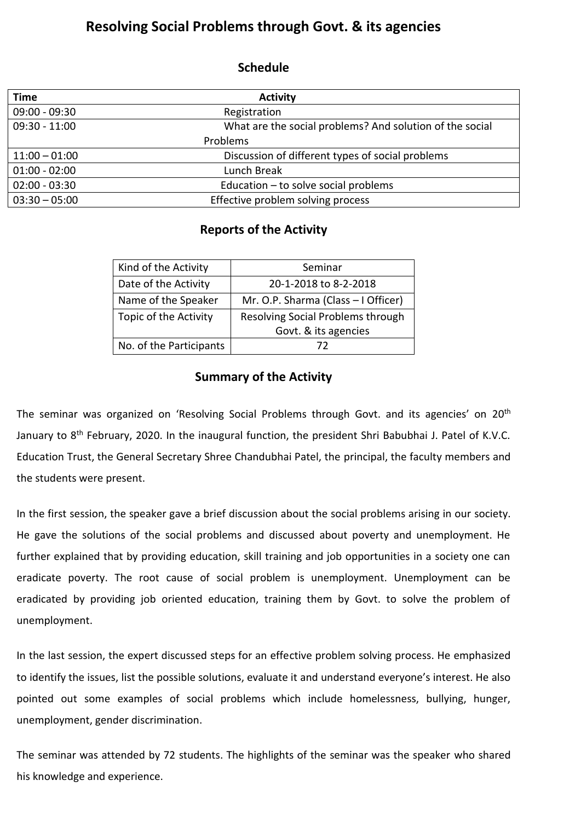## **Resolving Social Problems through Govt. & its agencies**

## **Schedule**

| <b>Time</b>     | <b>Activity</b>                                          |
|-----------------|----------------------------------------------------------|
| $09:00 - 09:30$ | Registration                                             |
| $09:30 - 11:00$ | What are the social problems? And solution of the social |
| Problems        |                                                          |
| $11:00 - 01:00$ | Discussion of different types of social problems         |
| $01:00 - 02:00$ | Lunch Break                                              |
| $02:00 - 03:30$ | Education $-$ to solve social problems                   |
| $03:30 - 05:00$ | Effective problem solving process                        |

## **Reports of the Activity**

| Kind of the Activity    | Seminar                             |
|-------------------------|-------------------------------------|
| Date of the Activity    | 20-1-2018 to 8-2-2018               |
| Name of the Speaker     | Mr. O.P. Sharma (Class - I Officer) |
| Topic of the Activity   | Resolving Social Problems through   |
|                         | Govt. & its agencies                |
| No. of the Participants | 77                                  |

## **Summary of the Activity**

The seminar was organized on 'Resolving Social Problems through Govt. and its agencies' on 20<sup>th</sup> January to 8<sup>th</sup> February, 2020. In the inaugural function, the president Shri Babubhai J. Patel of K.V.C. Education Trust, the General Secretary Shree Chandubhai Patel, the principal, the faculty members and the students were present.

In the first session, the speaker gave a brief discussion about the social problems arising in our society. He gave the solutions of the social problems and discussed about poverty and unemployment. He further explained that by providing education, skill training and job opportunities in a society one can eradicate poverty. The root cause of social problem is unemployment. Unemployment can be eradicated by providing job oriented education, training them by Govt. to solve the problem of unemployment.

In the last session, the expert discussed steps for an effective problem solving process. He emphasized to identify the issues, list the possible solutions, evaluate it and understand everyone's interest. He also pointed out some examples of social problems which include homelessness, bullying, hunger, unemployment, gender discrimination.

The seminar was attended by 72 students. The highlights of the seminar was the speaker who shared his knowledge and experience.